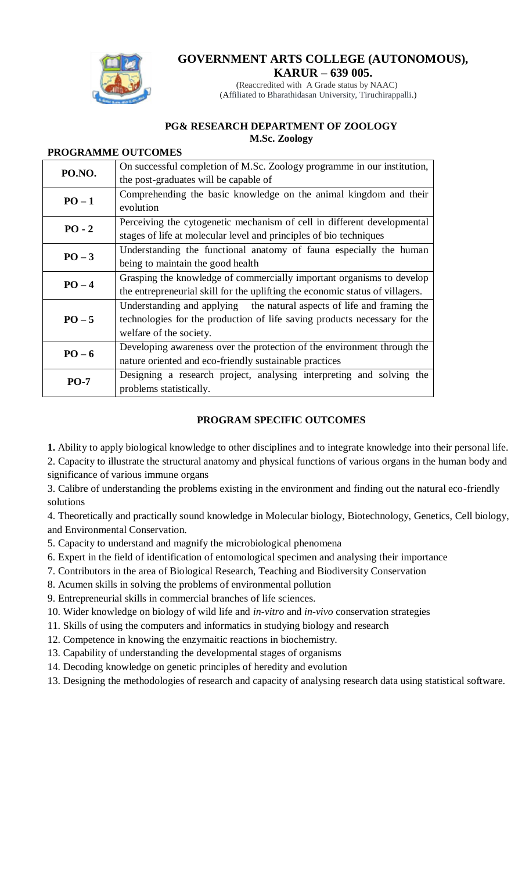

# **GOVERNMENT ARTS COLLEGE (AUTONOMOUS), KARUR – 639 005.**

(Reaccredited with A Grade status by NAAC) (Affiliated to Bharathidasan University, Tiruchirappalli.)

# **PG& RESEARCH DEPARTMENT OF ZOOLOGY M.Sc. Zoology**

### **PROGRAMME OUTCOMES**

| PO.NO.   | On successful completion of M.Sc. Zoology programme in our institution,       |
|----------|-------------------------------------------------------------------------------|
|          | the post-graduates will be capable of                                         |
| $PO-1$   | Comprehending the basic knowledge on the animal kingdom and their             |
|          | evolution                                                                     |
| $PO - 2$ | Perceiving the cytogenetic mechanism of cell in different developmental       |
|          | stages of life at molecular level and principles of bio techniques            |
| $PO-3$   | Understanding the functional anatomy of fauna especially the human            |
|          | being to maintain the good health                                             |
| $PO-4$   | Grasping the knowledge of commercially important organisms to develop         |
|          | the entrepreneurial skill for the uplifting the economic status of villagers. |
|          | Understanding and applying the natural aspects of life and framing the        |
| $PO-5$   | technologies for the production of life saving products necessary for the     |
|          | welfare of the society.                                                       |
| $PO-6$   | Developing awareness over the protection of the environment through the       |
|          | nature oriented and eco-friendly sustainable practices                        |
| $PO-7$   | Designing a research project, analysing interpreting and solving the          |
|          | problems statistically.                                                       |

# **PROGRAM SPECIFIC OUTCOMES**

**1.** Ability to apply biological knowledge to other disciplines and to integrate knowledge into their personal life.

2. Capacity to illustrate the structural anatomy and physical functions of various organs in the human body and significance of various immune organs

3. Calibre of understanding the problems existing in the environment and finding out the natural eco-friendly solutions

4. Theoretically and practically sound knowledge in Molecular biology, Biotechnology, Genetics, Cell biology, and Environmental Conservation.

- 5. Capacity to understand and magnify the microbiological phenomena
- 6. Expert in the field of identification of entomological specimen and analysing their importance
- 7. Contributors in the area of Biological Research, Teaching and Biodiversity Conservation
- 8. Acumen skills in solving the problems of environmental pollution

9. Entrepreneurial skills in commercial branches of life sciences.

- 10. Wider knowledge on biology of wild life and *in-vitro* and *in-vivo* conservation strategies
- 11. Skills of using the computers and informatics in studying biology and research
- 12. Competence in knowing the enzymaitic reactions in biochemistry.
- 13. Capability of understanding the developmental stages of organisms
- 14. Decoding knowledge on genetic principles of heredity and evolution
- 13. Designing the methodologies of research and capacity of analysing research data using statistical software.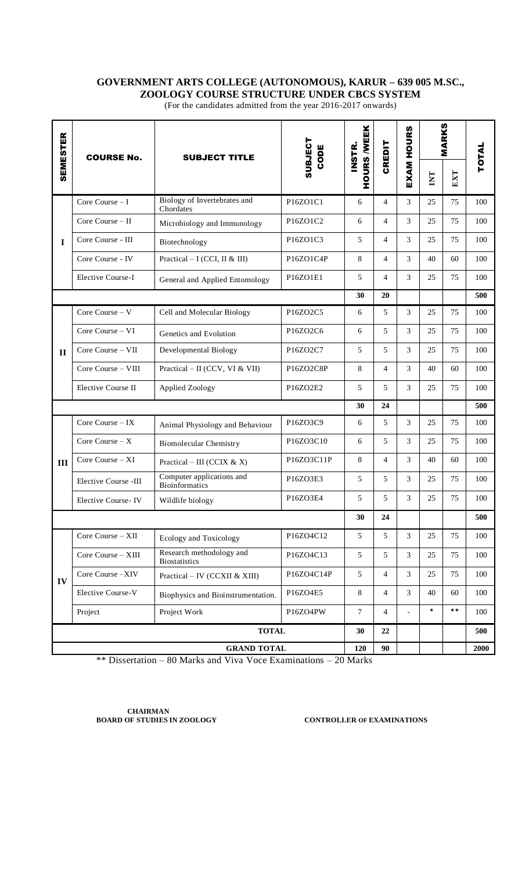# **GOVERNMENT ARTS COLLEGE (AUTONOMOUS), KARUR – 639 005 M.SC., ZOOLOGY COURSE STRUCTURE UNDER CBCS SYSTEM**

(For the candidates admitted from the year 2016-2017 onwards)

| <b>SEMESTER</b> | <b>COURSE No.</b>    | <b>SUBJECT TITLE</b>                               | <b>SUBJECT</b><br>CODE | <b>HOURS /WEEK</b><br>INSTR. | CREDIT                   | <b>EXAM HOURS</b> | <b>MARKS</b> |              | TOTAL |
|-----------------|----------------------|----------------------------------------------------|------------------------|------------------------------|--------------------------|-------------------|--------------|--------------|-------|
|                 |                      |                                                    |                        |                              |                          |                   | INT          | EXT          |       |
|                 | Core Course - I      | Biology of Invertebrates and<br>Chordates          | P16ZO1C1               | 6                            | $\overline{4}$           | 3                 | 25           | 75           | 100   |
| $\mathbf I$     | Core Course - II     | Microbiology and Immunology                        | P16ZO1C2               | 6                            | $\overline{4}$           | 3                 | 25           | 75           | 100   |
|                 | Core Course - III    | Biotechnology                                      | P16ZO1C3               | 5                            | $\overline{4}$           | 3                 | 25           | 75           | 100   |
|                 | Core Course - IV     | Practical - I (CCI, II & III)                      | P16ZO1C4P              | 8                            | $\overline{4}$           | 3                 | 40           | 60           | 100   |
|                 | Elective Course-I    | General and Applied Entomology                     | P16ZO1E1               | 5                            | $\overline{4}$           | 3                 | 25           | 75           | 100   |
|                 |                      |                                                    |                        | 30                           | 20                       |                   |              |              | 500   |
|                 | Core Course - V      | Cell and Molecular Biology                         | P16ZO2C5               | 6                            | 5                        | 3                 | 25           | 75           | 100   |
|                 | Core Course - VI     | Genetics and Evolution                             | P16ZO2C6               | 6                            | 5                        | 3                 | 25           | 75           | 100   |
| $\mathbf{I}$    | Core Course - VII    | Developmental Biology                              | P16ZO2C7               | 5                            | 5                        | 3                 | 25           | 75           | 100   |
|                 | Core Course - VIII   | Practical - II (CCV, VI & VII)                     | P16ZO2C8P              | 8                            | $\overline{4}$           | $\mathfrak{Z}$    | 40           | 60           | 100   |
|                 | Elective Course II   | <b>Applied Zoology</b>                             | P16ZO2E2               | 5                            | 5                        | 3                 | 25           | 75           | 100   |
|                 |                      |                                                    |                        | 30                           | 24                       |                   |              |              | 500   |
|                 | Core Course - IX     | Animal Physiology and Behaviour                    | P16ZO3C9               | 6                            | 5                        | 3                 | 25           | 75           | 100   |
|                 | Core Course - X      | <b>Biomolecular Chemistry</b>                      | P16ZO3C10              | 6                            | 5                        | $\mathfrak{Z}$    | 25           | 75           | 100   |
| III             | Core Course - XI     | Practical - III (CCIX & X)                         | P16ZO3C11P             | 8                            | $\overline{4}$           | $\overline{3}$    | 40           | 60           | 100   |
|                 | Elective Course -III | Computer applications and<br><b>Bioinformatics</b> | P16ZO3E3               | 5                            | 5                        | 3                 | 25           | 75           | 100   |
|                 | Elective Course-IV   | Wildlife biology                                   | P16ZO3E4               | 5                            | 5                        | 3                 | 25           | 75           | 100   |
|                 |                      |                                                    |                        | 30                           | 24                       |                   |              |              | 500   |
|                 | Core Course - XII    | Ecology and Toxicology                             | P16ZO4C12              | 5                            | 5                        | $\mathfrak{Z}$    | 25           | 75           | 100   |
|                 | Core Course - XIII   | Research methodology and<br><b>Biostatistics</b>   | P16ZO4C13              | 5                            | 5                        | $\overline{3}$    | 25           | 75           | 100   |
| IV              | Core Course-XIV      | Practical - IV (CCXII & XIII)                      | P16ZO4C14P             | $\sqrt{5}$                   | $\overline{\mathcal{L}}$ | $\mathfrak{Z}$    | 25           | 75           | 100   |
|                 | Elective Course-V    | Biophysics and Bioinstrumentation.                 | P16ZO4E5               | $\,8\,$                      | $\overline{4}$           | $\mathfrak{Z}$    | 40           | 60           | 100   |
|                 | Project              | Project Work                                       | P16ZO4PW               | $\tau$                       | $\overline{4}$           | $\overline{a}$    | $\star$      | $\star\star$ | 100   |
|                 | <b>TOTAL</b>         |                                                    |                        |                              | 22                       |                   |              |              | 500   |
|                 |                      | <b>GRAND TOTAL</b>                                 |                        | 120                          | 90                       |                   |              |              | 2000  |

\*\* Dissertation – 80 Marks and Viva Voce Examinations – 20 Marks

**CHAIRMAN<br>BOARD OF STUDIES IN ZOOLOGY** 

**BOARD OF STUDIES IN ZOOLOGY CONTROLLER OF EXAMINATIONS**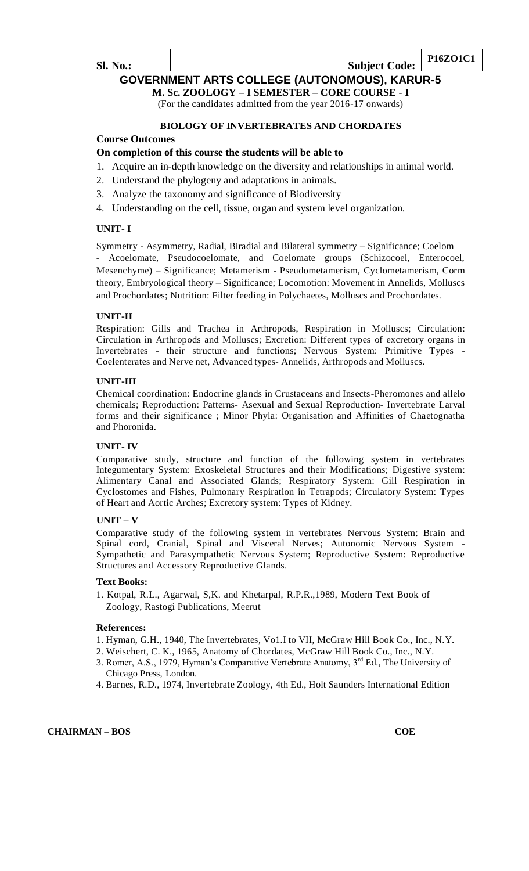**P16ZO1C1**

# **Sl. No.: Subject Code: GOVERNMENT ARTS COLLEGE (AUTONOMOUS), KARUR-5**

**M. Sc. ZOOLOGY – I SEMESTER – CORE COURSE - I**

(For the candidates admitted from the year 2016-17 onwards)

# **BIOLOGY OF INVERTEBRATES AND CHORDATES**

### **Course Outcomes**

### **On completion of this course the students will be able to**

- 1. Acquire an in-depth knowledge on the diversity and relationships in animal world.
- 2. Understand the phylogeny and adaptations in animals.
- 3. Analyze the taxonomy and significance of Biodiversity
- 4. Understanding on the cell, tissue, organ and system level organization.

### **UNIT- I**

Symmetry - Asymmetry, Radial, Biradial and Bilateral symmetry – Significance; Coelom - Acoelomate, Pseudocoelomate, and Coelomate groups (Schizocoel, Enterocoel, Mesenchyme) – Significance; Metamerism - Pseudometamerism, Cyclometamerism, Corm theory, Embryological theory – Significance; Locomotion: Movement in Annelids, Molluscs and Prochordates; Nutrition: Filter feeding in Polychaetes, Molluscs and Prochordates.

### **UNIT-II**

Respiration: Gills and Trachea in Arthropods, Respiration in Molluscs; Circulation: Circulation in Arthropods and Molluscs; Excretion: Different types of excretory organs in Invertebrates - their structure and functions; Nervous System: Primitive Types - Coelenterates and Nerve net, Advanced types- Annelids, Arthropods and Molluscs.

### **UNIT-III**

Chemical coordination: Endocrine glands in Crustaceans and Insects-Pheromones and allelo chemicals; Reproduction: Patterns- Asexual and Sexual Reproduction- Invertebrate Larval forms and their significance ; Minor Phyla: Organisation and Affinities of Chaetognatha and Phoronida.

### **UNIT- IV**

Comparative study, structure and function of the following system in vertebrates Integumentary System: Exoskeletal Structures and their Modifications; Digestive system: Alimentary Canal and Associated Glands; Respiratory System: Gill Respiration in Cyclostomes and Fishes, Pulmonary Respiration in Tetrapods; Circulatory System: Types of Heart and Aortic Arches; Excretory system: Types of Kidney.

### **UNIT – V**

Comparative study of the following system in vertebrates Nervous System: Brain and Spinal cord, Cranial, Spinal and Visceral Nerves; Autonomic Nervous System - Sympathetic and Parasympathetic Nervous System; Reproductive System: Reproductive Structures and Accessory Reproductive Glands.

### **Text Books:**

1. Kotpal, R.L., Agarwal, S,K. and Khetarpal, R.P.R.,1989, Modern Text Book of Zoology, Rastogi Publications, Meerut

### **References:**

- 1. Hyman, G.H., 1940, The Invertebrates, Vo1.I to VII, McGraw Hill Book Co., Inc., N.Y.
- 2. Weischert, C. K., 1965, Anatomy of Chordates, McGraw Hill Book Co., Inc., N.Y.
- 3. Romer, A.S., 1979, Hyman's Comparative Vertebrate Anatomy, 3rd Ed., The University of Chicago Press, London.
- 4. Barnes, R.D., 1974, Invertebrate Zoology, 4th Ed., Holt Saunders International Edition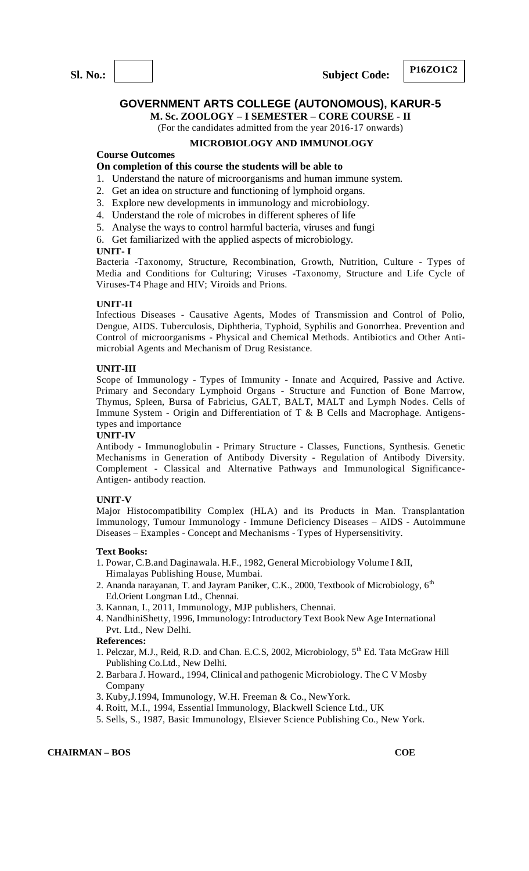# **GOVERNMENT ARTS COLLEGE (AUTONOMOUS), KARUR-5**

**M. Sc. ZOOLOGY – I SEMESTER – CORE COURSE - II**

(For the candidates admitted from the year 2016-17 onwards)

# **MICROBIOLOGY AND IMMUNOLOGY**

### **Course Outcomes**

### **On completion of this course the students will be able to**

- 1. Understand the nature of microorganisms and human immune system.
- 2. Get an idea on structure and functioning of lymphoid organs.
- 3. Explore new developments in immunology and microbiology.
- 4. Understand the role of microbes in different spheres of life
- 5. Analyse the ways to control harmful bacteria, viruses and fungi
- 6. Get familiarized with the applied aspects of microbiology.

### **UNIT- I**

Bacteria -Taxonomy, Structure, Recombination, Growth, Nutrition, Culture - Types of Media and Conditions for Culturing; Viruses -Taxonomy, Structure and Life Cycle of Viruses-T4 Phage and HIV; Viroids and Prions.

### **UNIT-II**

Infectious Diseases - Causative Agents, Modes of Transmission and Control of Polio, Dengue, AIDS. Tuberculosis, Diphtheria, Typhoid, Syphilis and Gonorrhea. Prevention and Control of microorganisms - Physical and Chemical Methods. Antibiotics and Other Antimicrobial Agents and Mechanism of Drug Resistance.

### **UNIT-III**

Scope of Immunology - Types of Immunity - Innate and Acquired, Passive and Active. Primary and Secondary Lymphoid Organs - Structure and Function of Bone Marrow, Thymus, Spleen, Bursa of Fabricius, GALT, BALT, MALT and Lymph Nodes. Cells of Immune System - Origin and Differentiation of T & B Cells and Macrophage. Antigenstypes and importance

### **UNIT-IV**

Antibody - Immunoglobulin - Primary Structure - Classes, Functions, Synthesis. Genetic Mechanisms in Generation of Antibody Diversity - Regulation of Antibody Diversity. Complement - Classical and Alternative Pathways and Immunological Significance-Antigen- antibody reaction.

### **UNIT-V**

Major Histocompatibility Complex (HLA) and its Products in Man. Transplantation Immunology, Tumour Immunology - Immune Deficiency Diseases – AIDS - Autoimmune Diseases – Examples - Concept and Mechanisms - Types of Hypersensitivity.

### **Text Books:**

- 1. Powar, C.B.and Daginawala. H.F., 1982, General Microbiology Volume I &II, Himalayas Publishing House, Mumbai.
- 2. Ananda narayanan, T. and Jayram Paniker, C.K., 2000, Textbook of Microbiology, 6<sup>th</sup> Ed.Orient Longman Ltd., Chennai.
- 3. Kannan, I., 2011, Immunology, MJP publishers, Chennai.
- 4. NandhiniShetty, 1996, Immunology: Introductory Text Book New Age International Pvt. Ltd., New Delhi.

### **References:**

- 1. Pelczar, M.J., Reid, R.D. and Chan. E.C.S, 2002, Microbiology, 5<sup>th</sup> Ed. Tata McGraw Hill Publishing Co.Ltd., New Delhi.
- 2. Barbara J. Howard., 1994, Clinical and pathogenic Microbiology. The C V Mosby Company
- 3. Kuby,J.1994, Immunology, W.H. Freeman & Co., NewYork.
- 4. Roitt, M.I., 1994, Essential Immunology, Blackwell Science Ltd., UK
- 5. Sells, S., 1987, Basic Immunology, Elsiever Science Publishing Co., New York.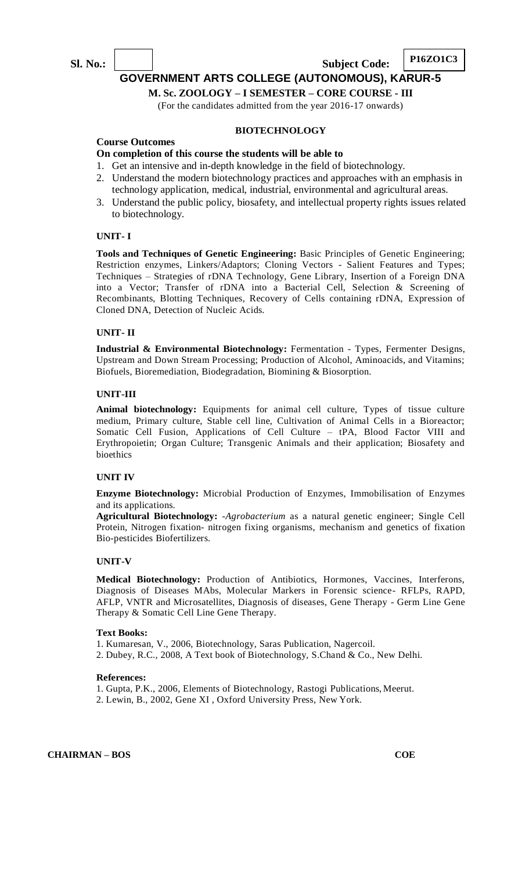**P16ZO1C3**

**GOVERNMENT ARTS COLLEGE (AUTONOMOUS), KARUR-5**

**M. Sc. ZOOLOGY – I SEMESTER – CORE COURSE - III**

(For the candidates admitted from the year 2016-17 onwards)

# **BIOTECHNOLOGY**

# **Course Outcomes**

## **On completion of this course the students will be able to**

- 1. Get an intensive and in-depth knowledge in the field of biotechnology.
- 2. Understand the modern biotechnology practices and approaches with an emphasis in technology application, medical, industrial, environmental and agricultural areas.
- 3. Understand the public policy, biosafety, and intellectual property rights issues related to biotechnology.

### **UNIT- I**

**Tools and Techniques of Genetic Engineering:** Basic Principles of Genetic Engineering; Restriction enzymes, Linkers/Adaptors; Cloning Vectors - Salient Features and Types; Techniques – Strategies of rDNA Technology, Gene Library, Insertion of a Foreign DNA into a Vector; Transfer of rDNA into a Bacterial Cell, Selection & Screening of Recombinants, Blotting Techniques, Recovery of Cells containing rDNA, Expression of Cloned DNA, Detection of Nucleic Acids.

### **UNIT- II**

**Industrial & Environmental Biotechnology:** Fermentation - Types, Fermenter Designs, Upstream and Down Stream Processing; Production of Alcohol, Aminoacids, and Vitamins; Biofuels, Bioremediation, Biodegradation, Biomining & Biosorption.

### **UNIT-III**

**Animal biotechnology:** Equipments for animal cell culture, Types of tissue culture medium, Primary culture, Stable cell line, Cultivation of Animal Cells in a Bioreactor; Somatic Cell Fusion, Applications of Cell Culture – tPA, Blood Factor VIII and Erythropoietin; Organ Culture; Transgenic Animals and their application; Biosafety and bioethics

### **UNIT IV**

**Enzyme Biotechnology:** Microbial Production of Enzymes, Immobilisation of Enzymes and its applications.

**Agricultural Biotechnology:** -*Agrobacterium* as a natural genetic engineer; Single Cell Protein, Nitrogen fixation- nitrogen fixing organisms, mechanism and genetics of fixation Bio-pesticides Biofertilizers.

### **UNIT-V**

**Medical Biotechnology:** Production of Antibiotics, Hormones, Vaccines, Interferons, Diagnosis of Diseases MAbs, Molecular Markers in Forensic science- RFLPs, RAPD, AFLP, VNTR and Microsatellites, Diagnosis of diseases, Gene Therapy - Germ Line Gene Therapy & Somatic Cell Line Gene Therapy.

### **Text Books:**

1. Kumaresan, V., 2006, Biotechnology, Saras Publication, Nagercoil.

2. Dubey, R.C., 2008, A Text book of Biotechnology, S.Chand & Co., New Delhi.

### **References:**

1. Gupta, P.K., 2006, Elements of Biotechnology, Rastogi Publications, Meerut.

2. Lewin, B., 2002, Gene XI , Oxford University Press, New York.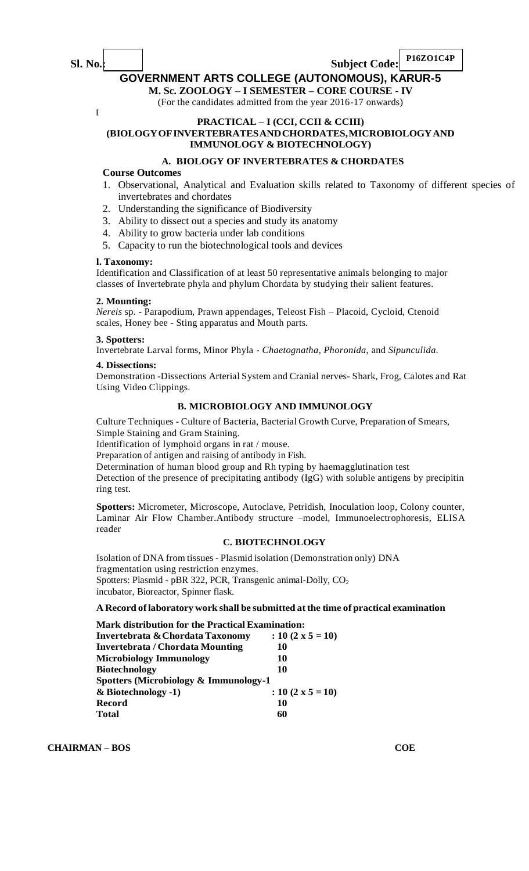**Sl. No.: Subject Code: P16ZO1C4P**

**GOVERNMENT ARTS COLLEGE (AUTONOMOUS), KARUR-5**

**M. Sc. ZOOLOGY – I SEMESTER – CORE COURSE - IV**

(For the candidates admitted from the year 2016-17 onwards)

### **PRACTICAL – I (CCI, CCII & CCIII) (BIOLOGYOFINVERTEBRATESANDCHORDATES,MICROBIOLOGYAND IMMUNOLOGY & BIOTECHNOLOGY)**

### **A. BIOLOGY OF INVERTEBRATES & CHORDATES**

### **Course Outcomes**

- 1. Observational, Analytical and Evaluation skills related to Taxonomy of different species of invertebrates and chordates
- 2. Understanding the significance of Biodiversity
- 3. Ability to dissect out a species and study its anatomy
- 4. Ability to grow bacteria under lab conditions
- 5. Capacity to run the biotechnological tools and devices

### **l. Taxonomy:**

Identification and Classification of at least 50 representative animals belonging to major classes of Invertebrate phyla and phylum Chordata by studying their salient features.

### **2. Mounting:**

*Nereis* sp. - Parapodium, Prawn appendages, Teleost Fish – Placoid, Cycloid, Ctenoid scales, Honey bee - Sting apparatus and Mouth parts.

#### **3. Spotters:**

Invertebrate Larval forms, Minor Phyla - *Chaetognatha*, *Phoronida*, and *Sipunculida*.

#### **4. Dissections:**

Demonstration -Dissections Arterial System and Cranial nerves- Shark, Frog, Calotes and Rat Using Video Clippings.

### **B. MICROBIOLOGY AND IMMUNOLOGY**

Culture Techniques - Culture of Bacteria, Bacterial Growth Curve, Preparation of Smears, Simple Staining and Gram Staining.

Identification of lymphoid organs in rat / mouse.

Preparation of antigen and raising of antibody in Fish.

Determination of human blood group and Rh typing by haemagglutination test

Detection of the presence of precipitating antibody (IgG) with soluble antigens by precipitin ring test.

**Spotters:** Micrometer, Microscope, Autoclave, Petridish, Inoculation loop, Colony counter, Laminar Air Flow Chamber.Antibody structure –model, Immunoelectrophoresis, ELISA reader

### **C. BIOTECHNOLOGY**

Isolation of DNA from tissues - Plasmid isolation (Demonstration only) DNA fragmentation using restriction enzymes. Spotters: Plasmid - pBR 322, PCR, Transgenic animal-Dolly, CO<sup>2</sup> incubator, Bioreactor, Spinner flask.

### **A Record oflaboratory work shall be submitted atthe time of practical examination**

| <b>Mark distribution for the Practical Examination:</b> |                     |  |  |  |  |
|---------------------------------------------------------|---------------------|--|--|--|--|
| Invertebrata & Chordata Taxonomy                        | $: 10 (2 x 5 = 10)$ |  |  |  |  |
| <b>Invertebrata / Chordata Mounting</b>                 | 10                  |  |  |  |  |
| <b>Microbiology Immunology</b>                          | 10                  |  |  |  |  |
| <b>Biotechnology</b>                                    | 10                  |  |  |  |  |
| <b>Spotters (Microbiology &amp; Immunology-1)</b>       |                     |  |  |  |  |
| $&\text{Biotechnology -1)}$                             | $: 10 (2 x 5 = 10)$ |  |  |  |  |
| <b>Record</b>                                           | 10                  |  |  |  |  |
| <b>Total</b>                                            | 60                  |  |  |  |  |

**CHAIRMAN – BOS COE**

**[**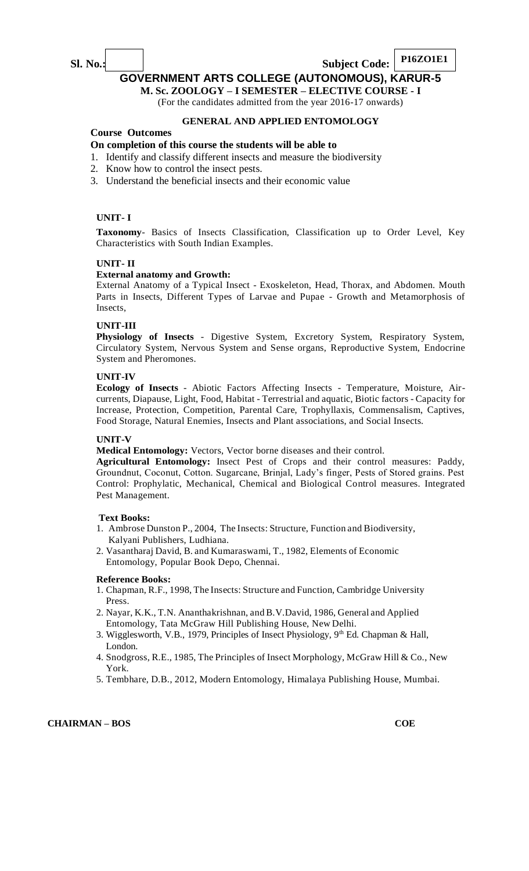**Sl. No.: Subject Code: P16ZO1E1**

**GOVERNMENT ARTS COLLEGE (AUTONOMOUS), KARUR-5**

**M. Sc. ZOOLOGY – I SEMESTER – ELECTIVE COURSE - I**

(For the candidates admitted from the year 2016-17 onwards)

### **GENERAL AND APPLIED ENTOMOLOGY**

### **Course Outcomes**

### **On completion of this course the students will be able to**

- 1. Identify and classify different insects and measure the biodiversity
- 2. Know how to control the insect pests.
- 3. Understand the beneficial insects and their economic value

### **UNIT- I**

**Taxonomy**- Basics of Insects Classification, Classification up to Order Level, Key Characteristics with South Indian Examples.

#### **UNIT- II**

#### **External anatomy and Growth:**

External Anatomy of a Typical Insect - Exoskeleton, Head, Thorax, and Abdomen. Mouth Parts in Insects, Different Types of Larvae and Pupae - Growth and Metamorphosis of Insects,

### **UNIT-III**

**Physiology of Insects** - Digestive System, Excretory System, Respiratory System, Circulatory System, Nervous System and Sense organs, Reproductive System, Endocrine System and Pheromones.

### **UNIT-IV**

**Ecology of Insects** - Abiotic Factors Affecting Insects - Temperature, Moisture, Aircurrents, Diapause, Light, Food, Habitat - Terrestrial and aquatic, Biotic factors - Capacity for Increase, Protection, Competition, Parental Care, Trophyllaxis, Commensalism, Captives, Food Storage, Natural Enemies, Insects and Plant associations, and Social Insects.

#### **UNIT-V**

**Medical Entomology:** Vectors, Vector borne diseases and their control.

**Agricultural Entomology:** Insect Pest of Crops and their control measures: Paddy, Groundnut, Coconut, Cotton. Sugarcane, Brinjal, Lady's finger, Pests of Stored grains. Pest Control: Prophylatic, Mechanical, Chemical and Biological Control measures. Integrated Pest Management.

#### **Text Books:**

- 1. Ambrose Dunston P., 2004, The Insects: Structure, Function and Biodiversity, Kalyani Publishers, Ludhiana.
- 2. Vasantharaj David, B. and Kumaraswami, T., 1982, Elements of Economic Entomology, Popular Book Depo, Chennai.

#### **Reference Books:**

- 1. Chapman, R.F., 1998, The Insects: Structure and Function, Cambridge University Press.
- 2. Nayar, K.K., T.N. Ananthakrishnan, and B.V.David, 1986, General and Applied Entomology, Tata McGraw Hill Publishing House, New Delhi.
- 3. Wigglesworth, V.B., 1979, Principles of Insect Physiology, 9<sup>th</sup> Ed. Chapman & Hall, London.
- 4. Snodgross, R.E., 1985, The Principles of Insect Morphology, McGraw Hill & Co., New York.
- 5. Tembhare, D.B., 2012, Modern Entomology, Himalaya Publishing House, Mumbai.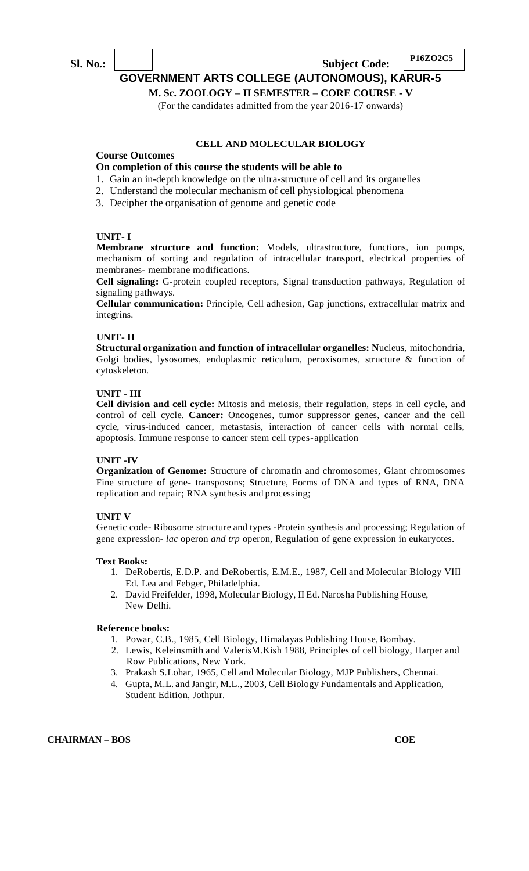**P16ZO2C5**

**GOVERNMENT ARTS COLLEGE (AUTONOMOUS), KARUR-5**

**M. Sc. ZOOLOGY – II SEMESTER – CORE COURSE - V**

(For the candidates admitted from the year 2016-17 onwards)

# **CELL AND MOLECULAR BIOLOGY**

### **Course Outcomes**

### **On completion of this course the students will be able to**

- 1. Gain an in-depth knowledge on the ultra-structure of cell and its organelles
- 2. Understand the molecular mechanism of cell physiological phenomena
- 3. Decipher the organisation of genome and genetic code

### **UNIT- I**

**Membrane structure and function:** Models, ultrastructure, functions, ion pumps, mechanism of sorting and regulation of intracellular transport, electrical properties of membranes- membrane modifications.

**Cell signaling:** G-protein coupled receptors, Signal transduction pathways, Regulation of signaling pathways.

**Cellular communication:** Principle, Cell adhesion, Gap junctions, extracellular matrix and integrins.

### **UNIT- II**

**Structural organization and function of intracellular organelles: N**ucleus, mitochondria, Golgi bodies, lysosomes, endoplasmic reticulum, peroxisomes, structure & function of cytoskeleton.

### **UNIT - III**

**Cell division and cell cycle:** Mitosis and meiosis, their regulation, steps in cell cycle, and control of cell cycle. **Cancer:** Oncogenes, tumor suppressor genes, cancer and the cell cycle, virus-induced cancer, metastasis, interaction of cancer cells with normal cells, apoptosis. Immune response to cancer stem cell types-application

### **UNIT -IV**

**Organization of Genome:** Structure of chromatin and chromosomes, Giant chromosomes Fine structure of gene- transposons; Structure, Forms of DNA and types of RNA, DNA replication and repair; RNA synthesis and processing;

### **UNIT V**

Genetic code- Ribosome structure and types -Protein synthesis and processing; Regulation of gene expression- *lac* operon *and trp* operon, Regulation of gene expression in eukaryotes.

### **Text Books:**

- 1. DeRobertis, E.D.P. and DeRobertis, E.M.E., 1987, Cell and Molecular Biology VIII Ed. Lea and Febger, Philadelphia.
- 2. David Freifelder, 1998, Molecular Biology, II Ed. Narosha Publishing House, New Delhi.

### **Reference books:**

- 1. Powar, C.B., 1985, Cell Biology, Himalayas Publishing House, Bombay.
- 2. Lewis, Keleinsmith and ValerisM.Kish 1988, Principles of cell biology, Harper and Row Publications, New York.
- 3. Prakash S.Lohar, 1965, Cell and Molecular Biology, MJP Publishers, Chennai.
- 4. Gupta, M.L. and Jangir, M.L., 2003, Cell Biology Fundamentals and Application, Student Edition, Jothpur.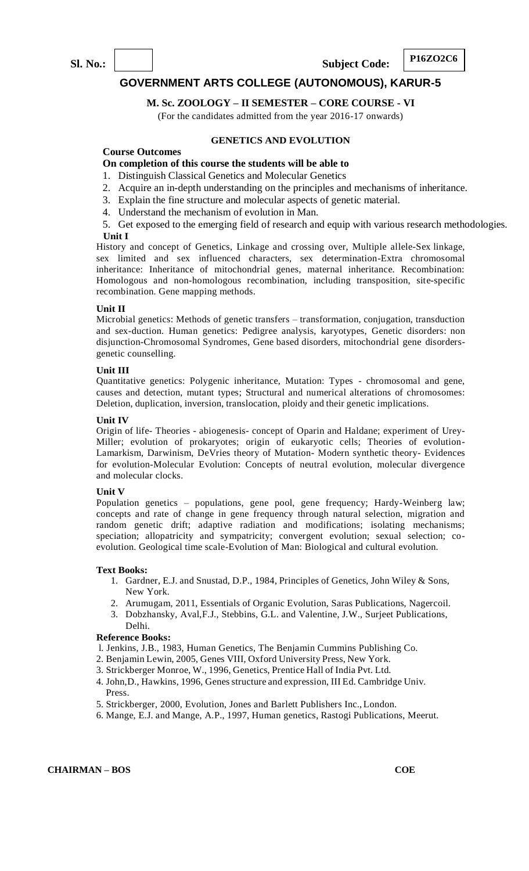# **GOVERNMENT ARTS COLLEGE (AUTONOMOUS), KARUR-5**

# **M. Sc. ZOOLOGY – II SEMESTER – CORE COURSE - VI**

(For the candidates admitted from the year 2016-17 onwards)

# **GENETICS AND EVOLUTION**

# **Course Outcomes**

# **On completion of this course the students will be able to**

- 1. Distinguish Classical Genetics and Molecular Genetics
- 2. Acquire an in-depth understanding on the principles and mechanisms of inheritance.
- 3. Explain the fine structure and molecular aspects of genetic material.
- 4. Understand the mechanism of evolution in Man.

5. Get exposed to the emerging field of research and equip with various research methodologies. **Unit I**

History and concept of Genetics, Linkage and crossing over, Multiple allele-Sex linkage, sex limited and sex influenced characters, sex determination-Extra chromosomal inheritance: Inheritance of mitochondrial genes, maternal inheritance. Recombination: Homologous and non-homologous recombination, including transposition, site-specific recombination. Gene mapping methods.

### **Unit II**

Microbial genetics: Methods of genetic transfers – transformation, conjugation, transduction and sex-duction. Human genetics: Pedigree analysis, karyotypes, Genetic disorders: non disjunction-Chromosomal Syndromes, Gene based disorders, mitochondrial gene disordersgenetic counselling.

### **Unit III**

Quantitative genetics: Polygenic inheritance, Mutation: Types - chromosomal and gene, causes and detection, mutant types; Structural and numerical alterations of chromosomes: Deletion, duplication, inversion, translocation, ploidy and their genetic implications.

### **Unit IV**

Origin of life- Theories - abiogenesis- concept of Oparin and Haldane; experiment of Urey-Miller; evolution of prokaryotes; origin of eukaryotic cells; Theories of evolution-Lamarkism, Darwinism, DeVries theory of Mutation- Modern synthetic theory- Evidences for evolution-Molecular Evolution: Concepts of neutral evolution, molecular divergence and molecular clocks.

### **Unit V**

Population genetics – populations, gene pool, gene frequency; Hardy-Weinberg law; concepts and rate of change in gene frequency through natural selection, migration and random genetic drift; adaptive radiation and modifications; isolating mechanisms; speciation; allopatricity and sympatricity; convergent evolution; sexual selection; coevolution. Geological time scale-Evolution of Man: Biological and cultural evolution.

### **Text Books:**

- 1. Gardner, E.J. and Snustad, D.P., 1984, Principles of Genetics, John Wiley & Sons, New York.
- 2. Arumugam, 2011, Essentials of Organic Evolution, Saras Publications, Nagercoil.
- 3. Dobzhansky, Aval,F.J., Stebbins, G.L. and Valentine, J.W., Surjeet Publications, Delhi.

### **Reference Books:**

- l. Jenkins, J.B., 1983, Human Genetics, The Benjamin Cummins Publishing Co.
- 2. Benjamin Lewin, 2005, Genes VIII, Oxford University Press, New York.
- 3. Strickberger Monroe, W., 1996, Genetics, Prentice Hall of India Pvt. Ltd.
- 4. John,D., Hawkins, 1996, Genes structure and expression, III Ed. Cambridge Univ. Press.
- 5. Strickberger, 2000, Evolution, Jones and Barlett Publishers Inc., London.
- 6. Mange, E.J. and Mange, A.P., 1997, Human genetics, Rastogi Publications, Meerut.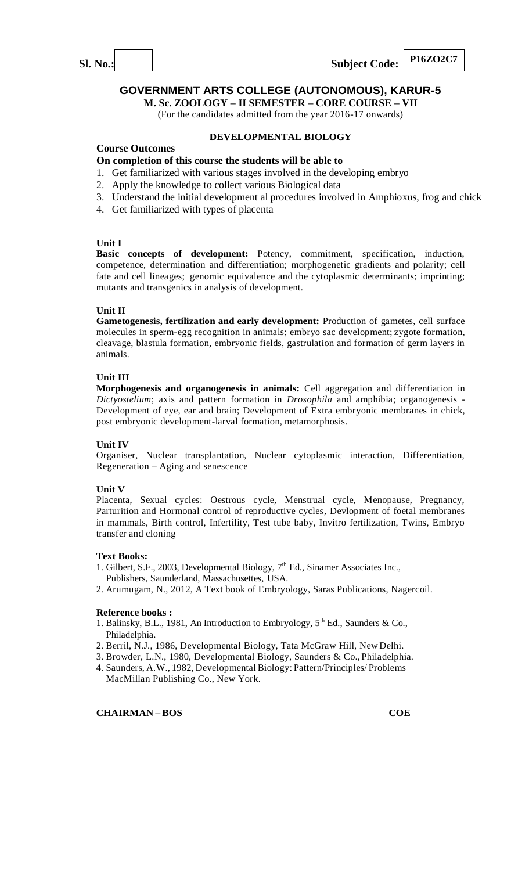**P16ZO2C7**

# **GOVERNMENT ARTS COLLEGE (AUTONOMOUS), KARUR-5**

**M. Sc. ZOOLOGY – II SEMESTER – CORE COURSE – VII**

(For the candidates admitted from the year 2016-17 onwards)

### **DEVELOPMENTAL BIOLOGY**

# **Course Outcomes**

# **On completion of this course the students will be able to**

- 1. Get familiarized with various stages involved in the developing embryo
- 2. Apply the knowledge to collect various Biological data
- 3. Understand the initial development al procedures involved in Amphioxus, frog and chick
- 4. Get familiarized with types of placenta

### **Unit I**

**Basic concepts of development:** Potency, commitment, specification, induction, competence, determination and differentiation; morphogenetic gradients and polarity; cell fate and cell lineages; genomic equivalence and the cytoplasmic determinants; imprinting; mutants and transgenics in analysis of development.

### **Unit II**

**Gametogenesis, fertilization and early development:** Production of gametes, cell surface molecules in sperm-egg recognition in animals; embryo sac development; zygote formation, cleavage, blastula formation, embryonic fields, gastrulation and formation of germ layers in animals.

### **Unit III**

**Morphogenesis and organogenesis in animals:** Cell aggregation and differentiation in *Dictyostelium*; axis and pattern formation in *Drosophila* and amphibia; organogenesis *-* Development of eye, ear and brain; Development of Extra embryonic membranes in chick, post embryonic development-larval formation, metamorphosis.

### **Unit IV**

Organiser, Nuclear transplantation, Nuclear cytoplasmic interaction, Differentiation, Regeneration – Aging and senescence

### **Unit V**

Placenta, Sexual cycles: Oestrous cycle, Menstrual cycle, Menopause, Pregnancy, Parturition and Hormonal control of reproductive cycles, Devlopment of foetal membranes in mammals, Birth control, Infertility, Test tube baby, Invitro fertilization, Twins, Embryo transfer and cloning

### **Text Books:**

- 1. Gilbert, S.F., 2003, Developmental Biology,  $7<sup>th</sup>$  Ed., Sinamer Associates Inc.,
- Publishers, Saunderland, Massachusettes, USA.
- 2. Arumugam, N., 2012, A Text book of Embryology, Saras Publications, Nagercoil.

### **Reference books :**

- 1. Balinsky, B.L., 1981, An Introduction to Embryology, 5<sup>th</sup> Ed., Saunders & Co., Philadelphia.
- 2. Berril, N.J., 1986, Developmental Biology, Tata McGraw Hill, New Delhi.
- 3. Browder, L.N., 1980, Developmental Biology, Saunders & Co., Philadelphia.
- 4. Saunders, A.W., 1982, Developmental Biology: Pattern/Principles/ Problems MacMillan Publishing Co., New York.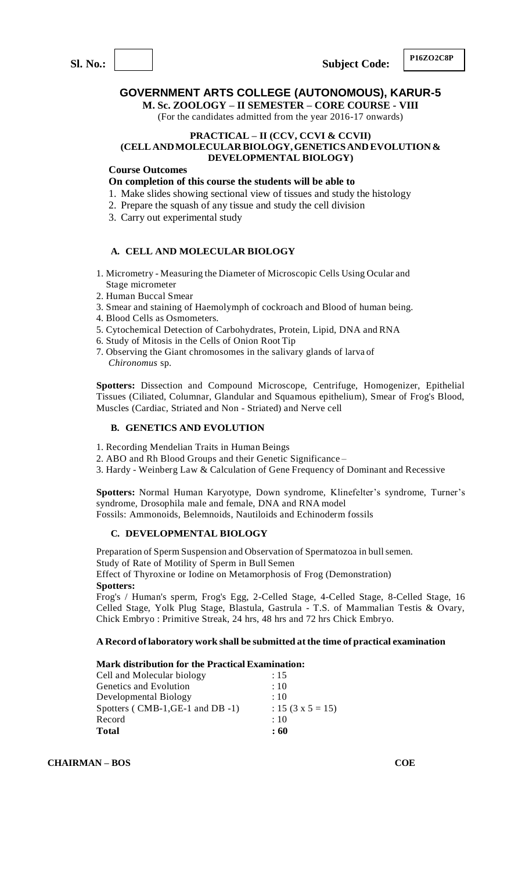**P16ZO2C8P**

# **GOVERNMENT ARTS COLLEGE (AUTONOMOUS), KARUR-5**

**M. Sc. ZOOLOGY – II SEMESTER – CORE COURSE - VIII** (For the candidates admitted from the year 2016-17 onwards)

### **PRACTICAL – II (CCV, CCVI & CCVII) (CELLANDMOLECULARBIOLOGY,GENETICSANDEVOLUTION& DEVELOPMENTAL BIOLOGY)**

### **Course Outcomes**

### **On completion of this course the students will be able to**

- 1. Make slides showing sectional view of tissues and study the histology
- 2. Prepare the squash of any tissue and study the cell division
- 3. Carry out experimental study

### **A. CELL AND MOLECULAR BIOLOGY**

- 1. Micrometry Measuring the Diameter of Microscopic Cells Using Ocular and Stage micrometer
- 2. Human Buccal Smear
- 3. Smear and staining of Haemolymph of cockroach and Blood of human being.
- 4. Blood Cells as Osmometers.
- 5. Cytochemical Detection of Carbohydrates, Protein, Lipid, DNA and RNA
- 6. Study of Mitosis in the Cells of Onion Root Tip
- 7. Observing the Giant chromosomes in the salivary glands of larva of *Chironomus* sp.

**Spotters:** Dissection and Compound Microscope, Centrifuge, Homogenizer, Epithelial Tissues (Ciliated, Columnar, Glandular and Squamous epithelium), Smear of Frog's Blood, Muscles (Cardiac, Striated and Non - Striated) and Nerve cell

### **B. GENETICS AND EVOLUTION**

- 1. Recording Mendelian Traits in Human Beings
- 2. ABO and Rh Blood Groups and their Genetic Significance –
- 3. Hardy Weinberg Law & Calculation of Gene Frequency of Dominant and Recessive

**Spotters:** Normal Human Karyotype, Down syndrome, Klinefelter's syndrome, Turner's syndrome, Drosophila male and female, DNA and RNA model Fossils: Ammonoids, Belemnoids, Nautiloids and Echinoderm fossils

### **C. DEVELOPMENTAL BIOLOGY**

Preparation of Sperm Suspension and Observation of Spermatozoa in bullsemen. Study of Rate of Motility of Sperm in Bull Semen Effect of Thyroxine or Iodine on Metamorphosis of Frog (Demonstration)

**Spotters:**

Frog's / Human's sperm, Frog's Egg, 2-Celled Stage, 4-Celled Stage, 8-Celled Stage, 16 Celled Stage, Yolk Plug Stage, Blastula, Gastrula - T.S. of Mammalian Testis & Ovary, Chick Embryo : Primitive Streak, 24 hrs, 48 hrs and 72 hrs Chick Embryo.

### **A Record oflaboratory work shall be submitted atthe time of practical examination**

### **Mark distribution for the Practical Examination:**

| Developmental Biology           | : 10                    |
|---------------------------------|-------------------------|
| Spotters (CMB-1, GE-1 and DB-1) | $: 15(3 \times 5 = 15)$ |
| Record                          | :10                     |
| <b>Total</b>                    | : 60                    |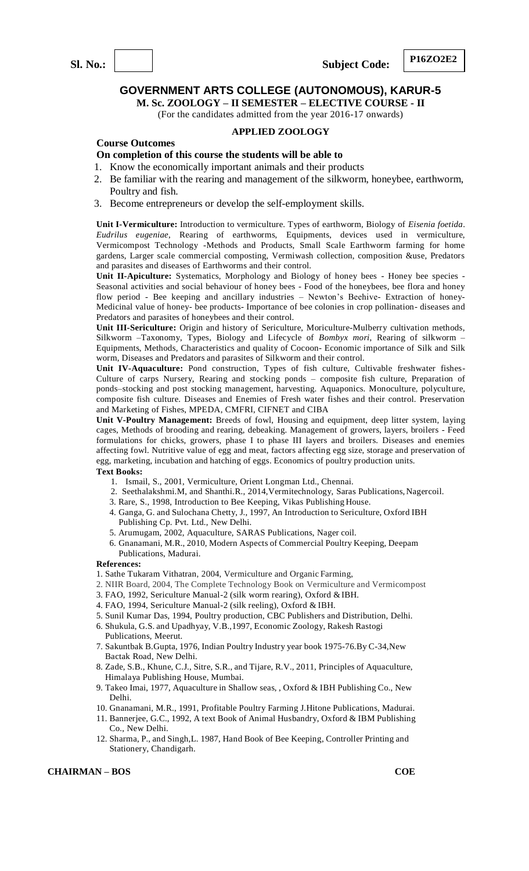# **GOVERNMENT ARTS COLLEGE (AUTONOMOUS), KARUR-5**

**M. Sc. ZOOLOGY – II SEMESTER – ELECTIVE COURSE - II**

(For the candidates admitted from the year 2016-17 onwards)

### **APPLIED ZOOLOGY**

# **Course Outcomes**

### **On completion of this course the students will be able to**

- 1. Know the economically important animals and their products
- 2. Be familiar with the rearing and management of the silkworm, honeybee, earthworm, Poultry and fish.
- 3. Become entrepreneurs or develop the self-employment skills.

**Unit I-Vermiculture:** Introduction to vermiculture. Types of earthworm, Biology of *Eisenia foetida*. *Eudrilus eugeniae*, Rearing of earthworms, Equipments, devices used in vermiculture, Vermicompost Technology -Methods and Products, Small Scale Earthworm farming for home gardens, Larger scale commercial composting, Vermiwash collection, composition &use, Predators and parasites and diseases of Earthworms and their control.

**Unit II-Apiculture:** Systematics, Morphology and Biology of honey bees - Honey bee species - Seasonal activities and social behaviour of honey bees - Food of the honeybees, bee flora and honey flow period - Bee keeping and ancillary industries – Newton's Beehive- Extraction of honey-Medicinal value of honey- bee products- Importance of bee colonies in crop pollination- diseases and Predators and parasites of honeybees and their control.

**Unit III-Sericulture:** Origin and history of Sericulture, Moriculture-Mulberry cultivation methods, Silkworm –Taxonomy, Types, Biology and Lifecycle of *Bombyx mori*, Rearing of silkworm – Equipments, Methods, Characteristics and quality of Cocoon- Economic importance of Silk and Silk worm, Diseases and Predators and parasites of Silkworm and their control.

**Unit IV-Aquaculture:** Pond construction, Types of fish culture, Cultivable freshwater fishes-Culture of carps Nursery, Rearing and stocking ponds – composite fish culture, Preparation of ponds–stocking and post stocking management, harvesting. Aquaponics. Monoculture, polyculture, composite fish culture. Diseases and Enemies of Fresh water fishes and their control. Preservation and Marketing of Fishes, MPEDA, CMFRI, CIFNET and CIBA

**Unit V-Poultry Management:** Breeds of fowl, Housing and equipment, deep litter system, laying cages, Methods of brooding and rearing, debeaking. Management of growers, layers, broilers - Feed formulations for chicks, growers, phase I to phase III layers and broilers. Diseases and enemies affecting fowl. Nutritive value of egg and meat, factors affecting egg size, storage and preservation of egg, marketing, incubation and hatching of eggs. Economics of poultry production units. **Text Books:**

- 1. Ismail, S., 2001, Vermiculture, Orient Longman Ltd., Chennai.
- 2. Seethalakshmi.M, and Shanthi.R., 2014,Vermitechnology, Saras Publications,Nagercoil.
- 3. Rare, S., 1998, Introduction to Bee Keeping, Vikas Publishing House.
- 4. Ganga, G. and Sulochana Chetty, J., 1997, An Introduction to Sericulture, Oxford IBH Publishing Cp. Pvt. Ltd., New Delhi.
- 5. Arumugam, 2002, Aquaculture, SARAS Publications, Nager coil.
- 6. Gnanamani, M.R., 2010, Modern Aspects of Commercial Poultry Keeping, Deepam Publications, Madurai.

**References:**

- 1. Sathe Tukaram Vithatran, 2004, Vermiculture and Organic Farming,
- 2. NIIR Board, 2004, The Complete Technology Book on Vermiculture and Vermicompost
- 3. FAO, 1992, Sericulture Manual-2 (silk worm rearing), Oxford &IBH.
- 4. [FAO, 1994, Sericulture M](http://www.amazon.in/s/ref%3Ddp_byline_sr_book_1?ie=UTF8&field-author=Sathe%2BTukaram%2BVithatran&search-alias=stripbooks)anual-2 (silk reeling), Oxford & IBH.
- 5. Sunil Kumar Das, 1994, Poultry production, CBC Publishers and Distribution, Delhi.
- 6. Shukula, G.S. and Upadhyay, V.B.,1997, Economic Zoology, Rakesh Rastogi
- Publications, Meerut.
- 7. Sakuntbak B.Gupta, 1976, Indian Poultry Industry year book 1975-76.By C-34,New Bactak Road, New Delhi.
- 8. Zade, S.B., Khune, C.J., Sitre, S.R., and Tijare, R.V., 2011, Principles of Aquaculture, Himalaya Publishing House, Mumbai.
- 9. Takeo Imai, 1977, Aquaculture in Shallow seas, , Oxford & IBH Publishing Co., New Delhi.
- 10. Gnanamani, M.R., 1991, Profitable Poultry Farming J.Hitone Publications, Madurai.
- 11. Bannerjee, G.C., 1992, A text Book of Animal Husbandry, Oxford & IBM Publishing Co., New Delhi.
- 12. Sharma, P., and Singh,L. 1987, Hand Book of Bee Keeping, Controller Printing and Stationery, Chandigarh.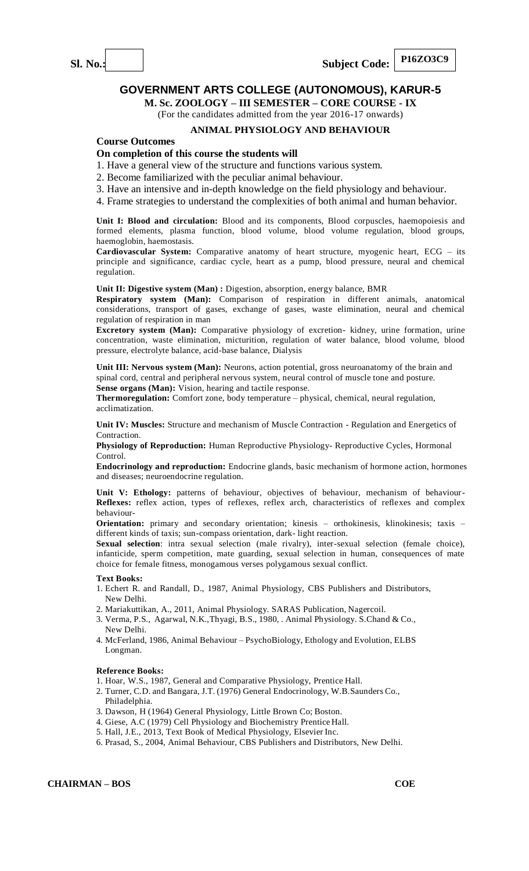**P16ZO3C9**

# **GOVERNMENT ARTS COLLEGE (AUTONOMOUS), KARUR-5**

**M. Sc. ZOOLOGY – III SEMESTER – CORE COURSE - IX**

(For the candidates admitted from the year 2016-17 onwards)

### **ANIMAL PHYSIOLOGY AND BEHAVIOUR**

# **On completion of this course the students will**

**Course Outcomes**

- 1. Have a general view of the structure and functions various system.
- 2. Become familiarized with the peculiar animal behaviour.
- 3. Have an intensive and in-depth knowledge on the field physiology and behaviour.
- 4. Frame strategies to understand the complexities of both animal and human behavior.

Unit I: Blood and circulation: Blood and its components, Blood corpuscles, haemopoiesis and formed elements, plasma function, blood volume, blood volume regulation, blood groups, haemoglobin, haemostasis.

**Cardiovascular System:** Comparative anatomy of heart structure, myogenic heart, ECG – its principle and significance, cardiac cycle, heart as a pump, blood pressure, neural and chemical regulation.

**Unit II: Digestive system (Man) :** Digestion, absorption, energy balance, BMR

**Respiratory system (Man):** Comparison of respiration in different animals, anatomical considerations, transport of gases, exchange of gases, waste elimination, neural and chemical regulation of respiration in man

**Excretory system (Man):** Comparative physiology of excretion- kidney, urine formation, urine concentration, waste elimination, micturition, regulation of water balance, blood volume, blood pressure, electrolyte balance, acid-base balance, Dialysis

**Unit III: Nervous system (Man):** Neurons, action potential, gross neuroanatomy of the brain and spinal cord, central and peripheral nervous system, neural control of muscle tone and posture. **Sense organs (Man):** Vision, hearing and tactile response.

**Thermoregulation:** Comfort zone, body temperature – physical, chemical, neural regulation, acclimatization.

**Unit IV: Muscles:** Structure and mechanism of Muscle Contraction - Regulation and Energetics of Contraction.

**Physiology of Reproduction:** Human Reproductive Physiology- Reproductive Cycles, Hormonal Control.

**Endocrinology and reproduction:** Endocrine glands, basic mechanism of hormone action, hormones and diseases; neuroendocrine regulation.

Unit V: Ethology: patterns of behaviour, objectives of behaviour, mechanism of behaviour-**Reflexes:** reflex action, types of reflexes, reflex arch, characteristics of reflexes and complex behaviour-

Orientation: primary and secondary orientation; kinesis - orthokinesis, klinokinesis; taxis different kinds of taxis; sun-compass orientation, dark- light reaction.

**Sexual selection**: intra sexual selection (male rivalry), inter-sexual selection (female choice), infanticide, sperm competition, mate guarding, sexual selection in human, consequences of mate choice for female fitness, monogamous verses polygamous sexual conflict.

#### **Text Books:**

- 1. Echert R. and Randall, D., 1987, Animal Physiology, CBS Publishers and Distributors, New Delhi.
- 2. Mariakuttikan, A., 2011, Animal Physiology. SARAS Publication, Nagercoil.
- 3. Verma, P.S., Agarwal, N.K.,Thyagi, B.S., 1980, . Animal Physiology. S.Chand & Co., New Delhi.
- 4. McFerland, 1986, Animal Behaviour PsychoBiology, Ethology and Evolution, ELBS Longman.

#### **Reference Books:**

- 1. Hoar, W.S., 1987, General and Comparative Physiology, Prentice Hall.
- 2. Turner, C.D. and Bangara, J.T. (1976) General Endocrinology, W.B.Saunders Co., Philadelphia.
- 3. Dawson, H (1964) General Physiology, Little Brown Co; Boston.
- 4. Giese, A.C (1979) Cell Physiology and Biochemistry Prentice Hall.
- 5. Hall, J.E., 2013, Text Book of Medical Physiology, Elsevier Inc.
- 6. Prasad, S., 2004, Animal Behaviour, CBS Publishers and Distributors, New Delhi.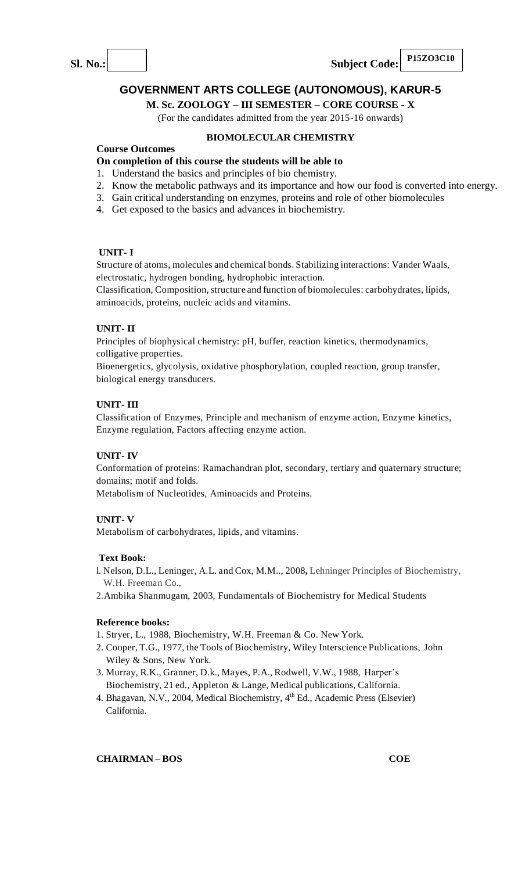**Sl. No.: Subject Code: P15ZO3C10**

# **GOVERNMENT ARTS COLLEGE (AUTONOMOUS), KARUR-5**

**M. Sc. ZOOLOGY – III SEMESTER – CORE COURSE - X**

(For the candidates admitted from the year 2015-16 onwards)

# **BIOMOLECULAR CHEMISTRY**

# **Course Outcomes**

**On completion of this course the students will be able to**

- 1. Understand the basics and principles of bio chemistry.
- 2. Know the metabolic pathways and its importance and how our food is converted into energy.
- 3. Gain critical understanding on enzymes, proteins and role of other biomolecules
- 4. Get exposed to the basics and advances in biochemistry.

### **UNIT- I**

Structure of atoms, molecules and chemical bonds. Stabilizing interactions: Vander Waals, electrostatic, hydrogen bonding, hydrophobic interaction.

Classification, Composition, structure and function of biomolecules: carbohydrates, lipids, aminoacids, proteins, nucleic acids and vitamins.

### **UNIT- II**

Principles of biophysical chemistry: pH, buffer, reaction kinetics, thermodynamics, colligative properties.

Bioenergetics, glycolysis, oxidative phosphorylation, coupled reaction, group transfer, biological energy transducers.

# **UNIT- III**

Classification of Enzymes, Principle and mechanism of enzyme action, Enzyme kinetics, Enzyme regulation, Factors affecting enzyme action.

### **UNIT- IV**

Conformation of proteins: Ramachandran plot, secondary, tertiary and quaternary structure; domains; motif and folds.

Metabolism of Nucleotides, Aminoacids and Proteins.

### **UNIT- V**

Metabolism of carbohydrates, lipids, and vitamins.

### **Text Book:**

- l. Nelson, D.L., Leninger, A.L. and Cox, M.M.., 2008**,** Lehninger Principles of Biochemistry, W.H. Freeman Co.,
- 2.Ambika Shanmugam, 2003, Fundamentals of Biochemistry for Medical Students

### **Reference books:**

- 1. Stryer, L., 1988, Biochemistry, W.H. Freeman & Co. New York.
- 2. Cooper, T.G., 1977, the Tools of Biochemistry, Wiley Interscience Publications, John Wiley & Sons, New York.
- 3. Murray, R.K., Granner, D.k., Mayes, P.A., Rodwell, V.W., 1988, Harper's Biochemistry, 21 ed., Appleton & Lange, Medical publications, California.
- 4. Bhagavan, N.V., 2004, Medical Biochemistry, 4<sup>th</sup> Ed., Academic Press (Elsevier) California.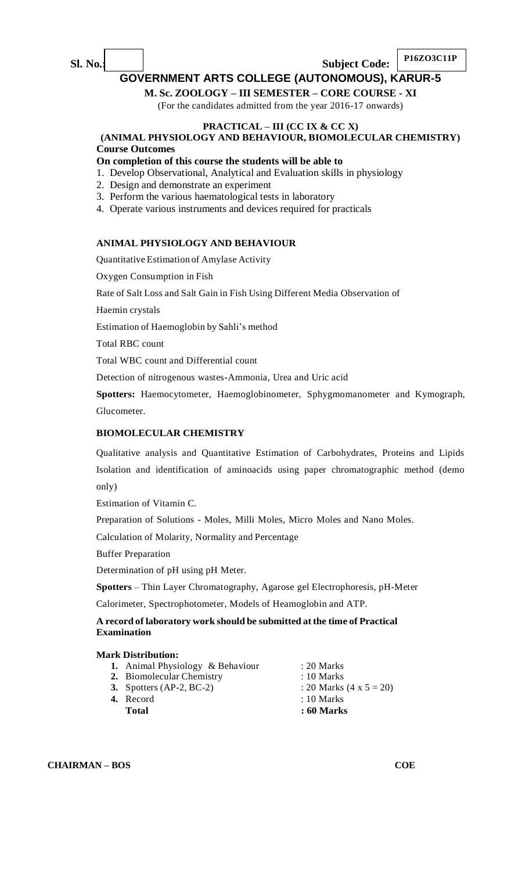**P16ZO3C11P**

# **GOVERNMENT ARTS COLLEGE (AUTONOMOUS), KARUR-5**

**M. Sc. ZOOLOGY – III SEMESTER – CORE COURSE - XI**

(For the candidates admitted from the year 2016-17 onwards)

## **PRACTICAL – III (CC IX & CC X)**

**(ANIMAL PHYSIOLOGY AND BEHAVIOUR, BIOMOLECULAR CHEMISTRY) Course Outcomes**

### **On completion of this course the students will be able to**

- 1. Develop Observational, Analytical and Evaluation skills in physiology
- 2. Design and demonstrate an experiment
- 3. Perform the various haematological tests in laboratory
- 4. Operate various instruments and devices required for practicals

### **ANIMAL PHYSIOLOGY AND BEHAVIOUR**

Quantitative Estimation of Amylase Activity Oxygen Consumption in Fish

Rate of Salt Loss and Salt Gain in Fish Using Different Media Observation of

Haemin crystals

Estimation of Haemoglobin by Sahli's method

Total RBC count

Total WBC count and Differential count

Detection of nitrogenous wastes-Ammonia, Urea and Uric acid

**Spotters:** Haemocytometer, Haemoglobinometer, Sphygmomanometer and Kymograph, Glucometer.

### **BIOMOLECULAR CHEMISTRY**

Qualitative analysis and Quantitative Estimation of Carbohydrates, Proteins and Lipids Isolation and identification of aminoacids using paper chromatographic method (demo only)

Estimation of Vitamin C.

Preparation of Solutions - Moles, Milli Moles, Micro Moles and Nano Moles.

Calculation of Molarity, Normality and Percentage

Buffer Preparation

Determination of pH using pH Meter.

**Spotters** – Thin Layer Chromatography, Agarose gel Electrophoresis, pH-Meter

Calorimeter, Spectrophotometer, Models of Heamoglobin and ATP.

**A record of laboratory work should be submitted atthe time of Practical Examination**

### **Mark Distribution:**

| <b>1.</b> Animal Physiology & Behaviour | $: 20$ Marks                   |
|-----------------------------------------|--------------------------------|
| 2. Biomolecular Chemistry               | $\pm 10$ Marks                 |
| 3. Spotters $AP-2, BC-2$                | : 20 Marks $(4 \times 5 = 20)$ |
| 4. Record                               | $\therefore$ 10 Marks          |
| <b>Total</b>                            | : 60 Marks                     |
|                                         |                                |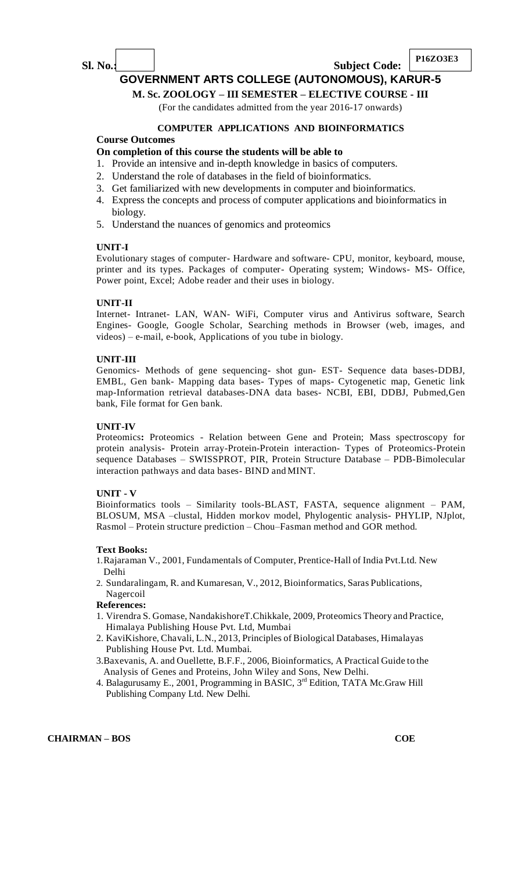**P16ZO3E3**

**GOVERNMENT ARTS COLLEGE (AUTONOMOUS), KARUR-5**

# **M. Sc. ZOOLOGY – III SEMESTER – ELECTIVE COURSE - III**

(For the candidates admitted from the year 2016-17 onwards)

### **COMPUTER APPLICATIONS AND BIOINFORMATICS**

# **Course Outcomes**

### **On completion of this course the students will be able to**

- 1. Provide an intensive and in-depth knowledge in basics of computers.
- 2. Understand the role of databases in the field of bioinformatics.
- 3. Get familiarized with new developments in computer and bioinformatics.
- 4. Express the concepts and process of computer applications and bioinformatics in biology.
- 5. Understand the nuances of genomics and proteomics

### **UNIT-I**

Evolutionary stages of computer- Hardware and software- CPU, monitor, keyboard, mouse, printer and its types. Packages of computer- Operating system; Windows- MS- Office, Power point, Excel; Adobe reader and their uses in biology.

### **UNIT-II**

Internet- Intranet- LAN, WAN- WiFi, Computer virus and Antivirus software, Search Engines- Google, Google Scholar, Searching methods in Browser (web, images, and videos) – e-mail, e-book, Applications of you tube in biology.

### **UNIT-III**

Genomics- Methods of gene sequencing- shot gun- EST- Sequence data bases-DDBJ, EMBL, Gen bank- Mapping data bases- Types of maps- Cytogenetic map, Genetic link map-Information retrieval databases-DNA data bases- NCBI, EBI, DDBJ, Pubmed,Gen bank, File format for Gen bank.

### **UNIT-IV**

Proteomics**:** Proteomics - Relation between Gene and Protein; Mass spectroscopy for protein analysis- Protein array-Protein-Protein interaction- Types of Proteomics-Protein sequence Databases – SWISSPROT, PIR, Protein Structure Database – PDB-Bimolecular interaction pathways and data bases- BIND and MINT.

### **UNIT - V**

Bioinformatics tools – Similarity tools-BLAST, FASTA, sequence alignment – PAM, BLOSUM, MSA –clustal, Hidden morkov model, Phylogentic analysis- PHYLIP, NJplot, Rasmol – Protein structure prediction – Chou–Fasman method and GOR method.

### **Text Books:**

1.Rajaraman V., 2001, Fundamentals of Computer, Prentice-Hall of India Pvt.Ltd. New Delhi

2. Sundaralingam, R. and Kumaresan, V., 2012, Bioinformatics, Saras Publications, Nagercoil

### **References:**

- 1. Virendra S. Gomase, NandakishoreT.Chikkale, 2009, Proteomics Theory and Practice, Himalaya Publishing House Pvt. Ltd, Mumbai
- 2. KaviKishore, Chavali, L.N., 2013, Principles of Biological Databases, Himalayas Publishing House Pvt. Ltd. Mumbai.
- 3.Baxevanis, A. and Ouellette, B.F.F., 2006, Bioinformatics, A Practical Guide to the Analysis of Genes and Proteins, John Wiley and Sons, New Delhi.
- 4. Balagurusamy E., 2001, Programming in BASIC, 3rd Edition, TATA Mc.Graw Hill Publishing Company Ltd. New Delhi.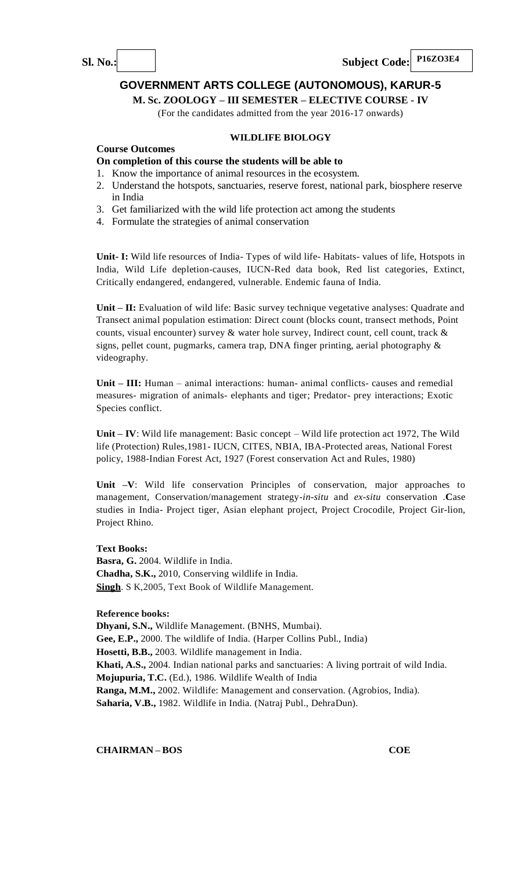# **GOVERNMENT ARTS COLLEGE (AUTONOMOUS), KARUR-5**

**M. Sc. ZOOLOGY – III SEMESTER – ELECTIVE COURSE - IV**

(For the candidates admitted from the year 2016-17 onwards)

### **WILDLIFE BIOLOGY**

# **Course Outcomes**

- **On completion of this course the students will be able to**
- 1. Know the importance of animal resources in the ecosystem.
- 2. Understand the hotspots, sanctuaries, reserve forest, national park, biosphere reserve in India
- 3. Get familiarized with the wild life protection act among the students
- 4. Formulate the strategies of animal conservation

**Unit- I:** Wild life resources of India- Types of wild life- Habitats- values of life, Hotspots in India, Wild Life depletion-causes, IUCN-Red data book, Red list categories, Extinct, Critically endangered, endangered, vulnerable. Endemic fauna of India.

**Unit – II:** Evaluation of wild life: Basic survey technique vegetative analyses: Quadrate and Transect animal population estimation: Direct count (blocks count, transect methods, Point counts, visual encounter) survey & water hole survey, Indirect count, cell count, track & signs, pellet count, pugmarks, camera trap, DNA finger printing, aerial photography & videography.

**Unit – III:** Human – animal interactions: human- animal conflicts- causes and remedial measures- migration of animals- elephants and tiger; Predator- prey interactions; Exotic Species conflict.

**Unit – IV**: Wild life management: Basic concept – Wild life protection act 1972, The Wild life (Protection) Rules,1981- IUCN, CITES, NBIA, IBA-Protected areas, National Forest policy, 1988-Indian Forest Act, 1927 (Forest conservation Act and Rules, 1980)

**Unit –V**: Wild life conservation Principles of conservation, major approaches to management, Conservation/management strategy-*in-situ* and *ex-situ* conservation .**C**ase studies in India- Project tiger, Asian elephant project, Project Crocodile, Project Gir-lion, Project Rhino.

# **Text Books: Basra, G.** 2004. Wildlife in India. **Chadha, S.K.,** 2010, Conserving wildlife in India. **Singh**. S K,2005, Text Book of Wildlife Management.

# **Reference books:**

**Dhyani, S.N.,** Wildlife Management. (BNHS, Mumbai). **Gee, E.P.,** 2000. The wildlife of India. (Harper Collins Publ., India) **Hosetti, B.B.,** 2003. Wildlife management in India. **Khati, A.S.,** 2004. Indian national parks and sanctuaries: A living portrait of wild India. **Mojupuria, T.C.** (Ed.), 1986. Wildlife Wealth of India **Ranga, M.M.,** 2002. Wildlife: Management and conservation. (Agrobios, India). **Saharia, V.B.,** 1982. Wildlife in India. (Natraj Publ., DehraDun).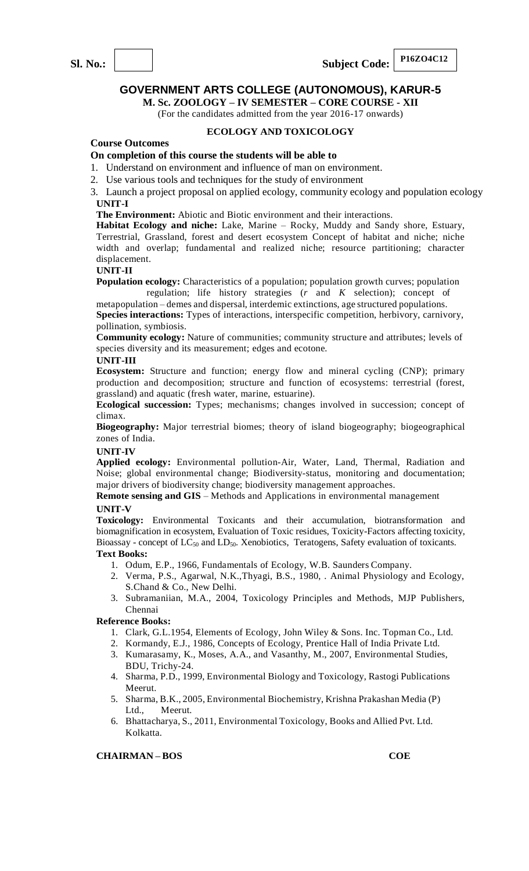# **GOVERNMENT ARTS COLLEGE (AUTONOMOUS), KARUR-5**

**M. Sc. ZOOLOGY – IV SEMESTER – CORE COURSE - XII**

(For the candidates admitted from the year 2016-17 onwards)

### **ECOLOGY AND TOXICOLOGY**

# **Course Outcomes**

### **On completion of this course the students will be able to**

- 1. Understand on environment and influence of man on environment.
- 2. Use various tools and techniques for the study of environment
- 3. Launch a project proposal on applied ecology, community ecology and population ecology **UNIT-I**

**The Environment:** Abiotic and Biotic environment and their interactions.

**Habitat Ecology and niche:** Lake, Marine – Rocky, Muddy and Sandy shore, Estuary, Terrestrial, Grassland, forest and desert ecosystem Concept of habitat and niche; niche width and overlap; fundamental and realized niche; resource partitioning; character displacement.

### **UNIT-II**

**Population ecology:** Characteristics of a population; population growth curves; population

regulation; life history strategies (*r* and *K* selection); concept of metapopulation – demes and dispersal, interdemic extinctions, age structured populations. **Species interactions:** Types of interactions, interspecific competition, herbivory, carnivory, pollination, symbiosis.

**Community ecology:** Nature of communities; community structure and attributes; levels of species diversity and its measurement; edges and ecotone.

### **UNIT-III**

**Ecosystem:** Structure and function; energy flow and mineral cycling (CNP); primary production and decomposition; structure and function of ecosystems: terrestrial (forest, grassland) and aquatic (fresh water, marine, estuarine).

**Ecological succession:** Types; mechanisms; changes involved in succession; concept of climax.

**Biogeography:** Major terrestrial biomes; theory of island biogeography; biogeographical zones of India.

### **UNIT-IV**

**Applied ecology:** Environmental pollution-Air, Water, Land, Thermal, Radiation and Noise; global environmental change; Biodiversity-status, monitoring and documentation; major drivers of biodiversity change; biodiversity management approaches.

**Remote sensing and GIS** – Methods and Applications in environmental management **UNIT-V**

**Toxicology:** Environmental Toxicants and their accumulation, biotransformation and biomagnification in ecosystem, Evaluation of Toxic residues, Toxicity-Factors affecting toxicity, Bioassay - concept of  $LC_{50}$  and  $LD_{50}$ . Xenobiotics, Teratogens, Safety evaluation of toxicants.

### **Text Books:**

- 1. Odum, E.P., 1966, Fundamentals of Ecology, W.B. Saunders Company.
- 2. Verma, P.S., Agarwal, N.K.,Thyagi, B.S., 1980, . Animal Physiology and Ecology, S.Chand & Co., New Delhi.
- 3. Subramaniian, M.A., 2004, Toxicology Principles and Methods, MJP Publishers, Chennai

### **Reference Books:**

- 1. Clark, G.L.1954, Elements of Ecology, John Wiley & Sons. Inc. Topman Co., Ltd.
- 2. Kormandy, E.J., 1986, Concepts of Ecology, Prentice Hall of India Private Ltd.
- 3. Kumarasamy, K., Moses, A.A., and Vasanthy, M., 2007, Environmental Studies, BDU, Trichy-24.
- 4. Sharma, P.D., 1999, Environmental Biology and Toxicology, Rastogi Publications Meerut.
- 5. Sharma, B.K., 2005, Environmental Biochemistry, Krishna Prakashan Media (P) Ltd., Meerut.
- 6. Bhattacharya, S., 2011, Environmental Toxicology, Books and Allied Pvt. Ltd. Kolkatta.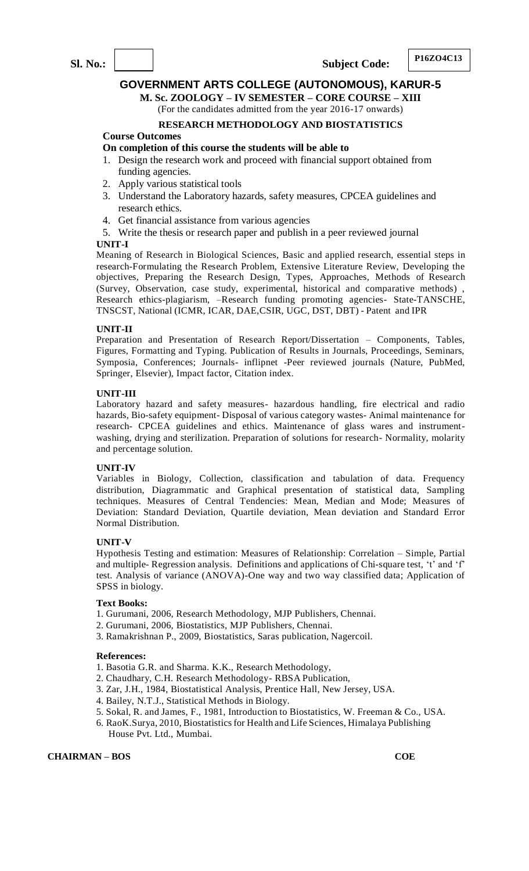# **GOVERNMENT ARTS COLLEGE (AUTONOMOUS), KARUR-5**

**M. Sc. ZOOLOGY – IV SEMESTER – CORE COURSE – XIII**

(For the candidates admitted from the year 2016-17 onwards)

# **RESEARCH METHODOLOGY AND BIOSTATISTICS**

# **Course Outcomes**

### **On completion of this course the students will be able to**

- 1. Design the research work and proceed with financial support obtained from funding agencies.
- 2. Apply various statistical tools
- 3. Understand the Laboratory hazards, safety measures, CPCEA guidelines and research ethics.
- 4. Get financial assistance from various agencies
- 5. Write the thesis or research paper and publish in a peer reviewed journal

### **UNIT-I**

Meaning of Research in Biological Sciences, Basic and applied research, essential steps in research-Formulating the Research Problem, Extensive Literature Review, Developing the objectives, Preparing the Research Design, Types, Approaches, Methods of Research (Survey, Observation, case study, experimental, historical and comparative methods) Research ethics-plagiarism, –Research funding promoting agencies- State-TANSCHE, TNSCST, National (ICMR, ICAR, DAE,CSIR, UGC, DST, DBT) - Patent and IPR

### **UNIT-II**

Preparation and Presentation of Research Report/Dissertation – Components, Tables, Figures, Formatting and Typing. Publication of Results in Journals, Proceedings, Seminars, Symposia, Conferences; Journals- inflipnet -Peer reviewed journals (Nature, PubMed, Springer, Elsevier), Impact factor, Citation index.

### **UNIT-III**

Laboratory hazard and safety measures- hazardous handling, fire electrical and radio hazards, Bio-safety equipment- Disposal of various category wastes- Animal maintenance for research- CPCEA guidelines and ethics. Maintenance of glass wares and instrumentwashing, drying and sterilization. Preparation of solutions for research- Normality, molarity and percentage solution.

### **UNIT-IV**

Variables in Biology, Collection, classification and tabulation of data. Frequency distribution, Diagrammatic and Graphical presentation of statistical data, Sampling techniques. Measures of Central Tendencies: Mean, Median and Mode; Measures of Deviation: Standard Deviation, Quartile deviation, Mean deviation and Standard Error Normal Distribution.

### **UNIT-V**

Hypothesis Testing and estimation: Measures of Relationship: Correlation – Simple, Partial and multiple- Regression analysis. Definitions and applications of Chi-square test, 't' and 'f' test. Analysis of variance (ANOVA)-One way and two way classified data; Application of SPSS in biology.

### **Text Books:**

1. Gurumani, 2006, Research Methodology, MJP Publishers, Chennai.

- 2. Gurumani, 2006, Biostatistics, MJP Publishers, Chennai.
- 3. Ramakrishnan P., 2009, Biostatistics, Saras publication, Nagercoil.

### **References:**

- 1. Basotia G.R. and Sharma. K.K., Research Methodology,
- 2. Chaudhary, C.H. Research Methodology- RBSA Publication,
- 3. Zar, J.H., 1984, Biostatistical Analysis, Prentice Hall, New Jersey, USA.
- 4. Bailey, N.T.J., Statistical Methods in Biology.
- 5. Sokal, R. and James, F., 1981, Introduction to Biostatistics, W. Freeman & Co., USA.
- 6. RaoK.Surya, 2010, Biostatisticsfor Health and Life Sciences, Himalaya Publishing House Pvt. Ltd., Mumbai.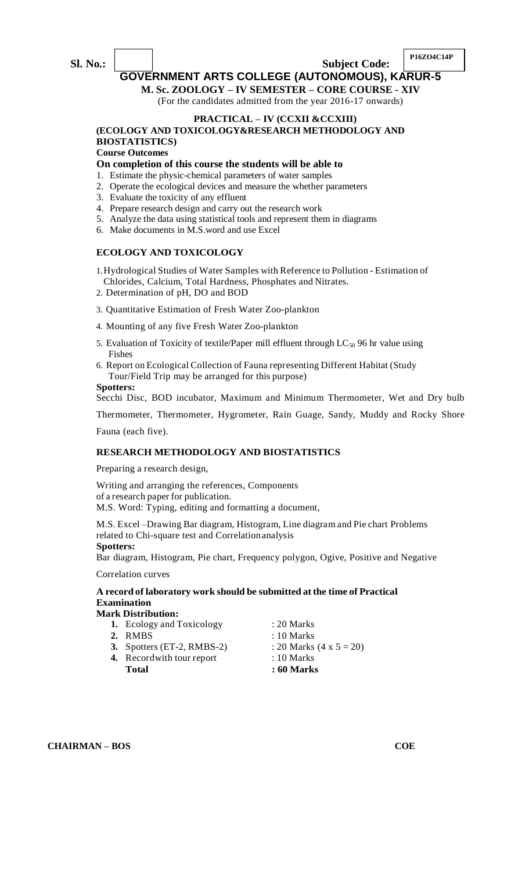**P16ZO4C14P**

**GOVERNMENT ARTS COLLEGE (AUTONOMOUS), KARUR-5**

**M. Sc. ZOOLOGY – IV SEMESTER – CORE COURSE - XIV**

(For the candidates admitted from the year 2016-17 onwards)

# **PRACTICAL – IV (CCXII &CCXIII)**

# **(ECOLOGY AND TOXICOLOGY&RESEARCH METHODOLOGY AND BIOSTATISTICS)**

**Course Outcomes**

# **On completion of this course the students will be able to**

- 1. Estimate the physic-chemical parameters of water samples
- 2. Operate the ecological devices and measure the whether parameters
- 3. Evaluate the toxicity of any effluent
- 4. Prepare research design and carry out the research work
- 5. Analyze the data using statistical tools and represent them in diagrams
- 6. Make documents in M.S.word and use Excel

### **ECOLOGY AND TOXICOLOGY**

- 1.Hydrological Studies of Water Samples with Reference to Pollution Estimation of Chlorides, Calcium, Total Hardness, Phosphates and Nitrates.
- 2. Determination of pH, DO and BOD
- 3. Quantitative Estimation of Fresh Water Zoo-plankton
- 4. Mounting of any five Fresh Water Zoo-plankton
- 5. Evaluation of Toxicity of textile/Paper mill effluent through  $LC_{50}$  96 hr value using Fishes
- 6. Report on Ecological Collection of Fauna representing Different Habitat (Study Tour/Field Trip may be arranged for this purpose)

### **Spotters:**

Secchi Disc, BOD incubator, Maximum and Minimum Thermometer, Wet and Dry bulb

Thermometer, Thermometer, Hygrometer, Rain Guage, Sandy, Muddy and Rocky Shore

Fauna (each five).

### **RESEARCH METHODOLOGY AND BIOSTATISTICS**

Preparing a research design,

Writing and arranging the references, Components of a research paper for publication. M.S. Word: Typing, editing and formatting a document,

M.S. Excel –Drawing Bar diagram, Histogram, Line diagram and Pie chart Problems related to Chi-square test and Correlationanalysis **Spotters:**

Bar diagram, Histogram, Pie chart, Frequency polygon, Ogive, Positive and Negative

Correlation curves

# **A record of laboratory work should be submitted atthe time of Practical Examination**

# **Mark Distribution:**

- **1.** Ecology and Toxicology : 20 Marks
- 
- **3.** Spotters (ET-2, RMBS-2) : 20 Marks  $(4 \times 5 = 20)$
- **4.** Recordwith tour report : 10 Marks **Total : 60 Marks**
- **2.** RMBS : 10 Marks
	-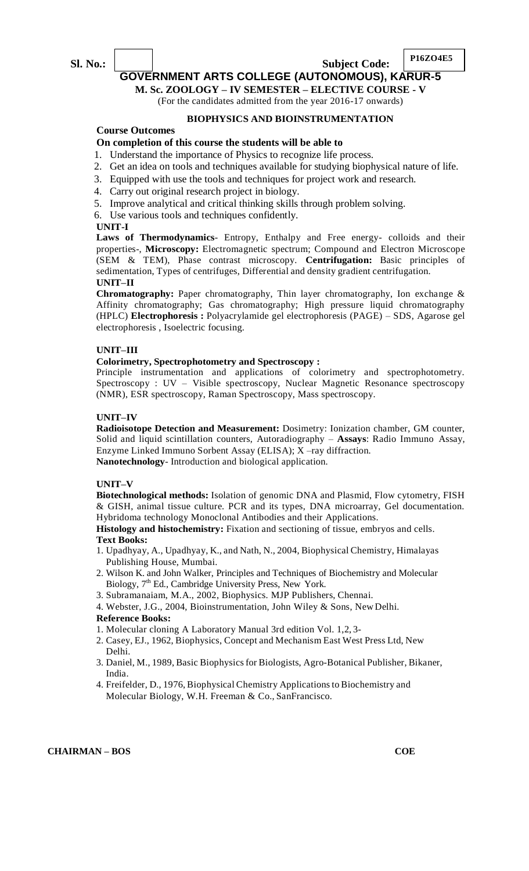#### **Sl. No.: Subject Code: GOVERNMENT ARTS COLLEGE (AUTONOMOUS), KARUR-5 P16ZO4E5**

**M. Sc. ZOOLOGY – IV SEMESTER – ELECTIVE COURSE - V**

(For the candidates admitted from the year 2016-17 onwards)

### **BIOPHYSICS AND BIOINSTRUMENTATION**

# **Course Outcomes**

# **On completion of this course the students will be able to**

- 1. Understand the importance of Physics to recognize life process.
- 2. Get an idea on tools and techniques available for studying biophysical nature of life.
- 3. Equipped with use the tools and techniques for project work and research.
- 4. Carry out original research project in biology.
- 5. Improve analytical and critical thinking skills through problem solving.
- 6. Use various tools and techniques confidently.

# **UNIT-I**

**Laws of Thermodynamics**- Entropy, Enthalpy and Free energy- colloids and their properties-, **Microscopy:** Electromagnetic spectrum; Compound and Electron Microscope (SEM & TEM), Phase contrast microscopy. **Centrifugation:** Basic principles of sedimentation, Types of centrifuges, Differential and density gradient centrifugation.

### **UNIT–II**

**Chromatography:** Paper chromatography, Thin layer chromatography, Ion exchange & Affinity chromatography; Gas chromatography; High pressure liquid chromatography (HPLC) **Electrophoresis :** Polyacrylamide gel electrophoresis (PAGE) – SDS, Agarose gel electrophoresis , Isoelectric focusing.

### **UNIT–III**

### **Colorimetry, Spectrophotometry and Spectroscopy :**

Principle instrumentation and applications of colorimetry and spectrophotometry. Spectroscopy : UV – Visible spectroscopy, Nuclear Magnetic Resonance spectroscopy (NMR), ESR spectroscopy, Raman Spectroscopy, Mass spectroscopy.

### **UNIT–IV**

**Radioisotope Detection and Measurement:** Dosimetry: Ionization chamber, GM counter, Solid and liquid scintillation counters, Autoradiography – **Assays**: Radio Immuno Assay, Enzyme Linked Immuno Sorbent Assay (ELISA); X –ray diffraction. **Nanotechnology**- Introduction and biological application.

### **UNIT–V**

**Biotechnological methods:** Isolation of genomic DNA and Plasmid, Flow cytometry, FISH & GISH, animal tissue culture. PCR and its types, DNA microarray, Gel documentation. Hybridoma technology Monoclonal Antibodies and their Applications.

Histology and histochemistry: Fixation and sectioning of tissue, embryos and cells. **Text Books:**

- 1. Upadhyay, A., Upadhyay, K., and Nath, N., 2004, Biophysical Chemistry, Himalayas Publishing House, Mumbai.
- 2. Wilson K. and John Walker, Principles and Techniques of Biochemistry and Molecular Biology, 7<sup>th</sup> Ed., Cambridge University Press, New York.
- 3. Subramanaiam, M.A., 2002, Biophysics. MJP Publishers, Chennai.
- 4. Webster, J.G., 2004, Bioinstrumentation, John Wiley & Sons, NewDelhi.

# **Reference Books:**

- 1. Molecular cloning A Laboratory Manual 3rd edition Vol. 1,2, 3-
- 2. Casey, EJ., 1962, Biophysics, Concept and Mechanism East West Press Ltd, New Delhi.
- 3. Daniel, M., 1989, Basic Biophysicsfor Biologists, Agro-Botanical Publisher, Bikaner, India.
- 4. Freifelder, D., 1976, Biophysical Chemistry Applicationsto Biochemistry and Molecular Biology, W.H. Freeman & Co., SanFrancisco.